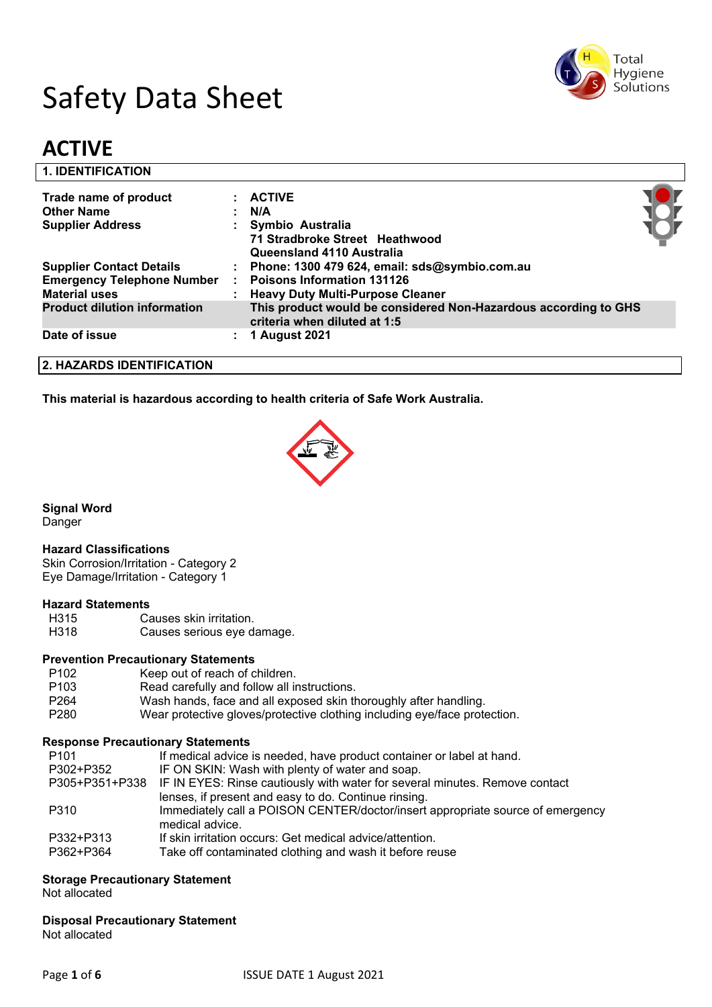

# Safety Data Sheet

# **ACTIVE**

| <b>1. IDENTIFICATION</b>            |                                                                                                 |  |
|-------------------------------------|-------------------------------------------------------------------------------------------------|--|
| Trade name of product               | $:$ ACTIVE                                                                                      |  |
| <b>Other Name</b>                   | N/A                                                                                             |  |
| <b>Supplier Address</b>             | Symbio Australia                                                                                |  |
|                                     | 71 Stradbroke Street Heathwood                                                                  |  |
|                                     | Queensland 4110 Australia                                                                       |  |
| <b>Supplier Contact Details</b>     | : Phone: 1300 479 624, email: sds@symbio.com.au                                                 |  |
| <b>Emergency Telephone Number</b>   | <b>Poisons Information 131126</b>                                                               |  |
| <b>Material uses</b>                | <b>Heavy Duty Multi-Purpose Cleaner</b>                                                         |  |
| <b>Product dilution information</b> | This product would be considered Non-Hazardous according to GHS<br>criteria when diluted at 1:5 |  |
| Date of issue                       | 1 August 2021                                                                                   |  |
|                                     |                                                                                                 |  |

#### **2. HAZARDS IDENTIFICATION**

**This material is hazardous according to health criteria of Safe Work Australia.**



#### **Signal Word**

Danger

#### **Hazard Classifications**

Skin Corrosion/Irritation - Category 2 Eye Damage/Irritation - Category 1

#### **Hazard Statements**

- H315 Causes skin irritation.
- H318 Causes serious eye damage.

#### **Prevention Precautionary Statements**

- P102 Keep out of reach of children.
- P103 Read carefully and follow all instructions.
- P264 Wash hands, face and all exposed skin thoroughly after handling.
- P280 Wear protective gloves/protective clothing including eye/face protection.

#### **Response Precautionary Statements**

| P <sub>101</sub> | If medical advice is needed, have product container or label at hand.                      |
|------------------|--------------------------------------------------------------------------------------------|
| P302+P352        | IF ON SKIN: Wash with plenty of water and soap.                                            |
|                  | P305+P351+P338 IF IN EYES: Rinse cautiously with water for several minutes. Remove contact |
|                  | lenses, if present and easy to do. Continue rinsing.                                       |
| P310             | Immediately call a POISON CENTER/doctor/insert appropriate source of emergency             |
|                  | medical advice.                                                                            |
| P332+P313        | If skin irritation occurs: Get medical advice/attention.                                   |
| P362+P364        | Take off contaminated clothing and wash it before reuse                                    |

#### **Storage Precautionary Statement**

Not allocated

#### **Disposal Precautionary Statement**

Not allocated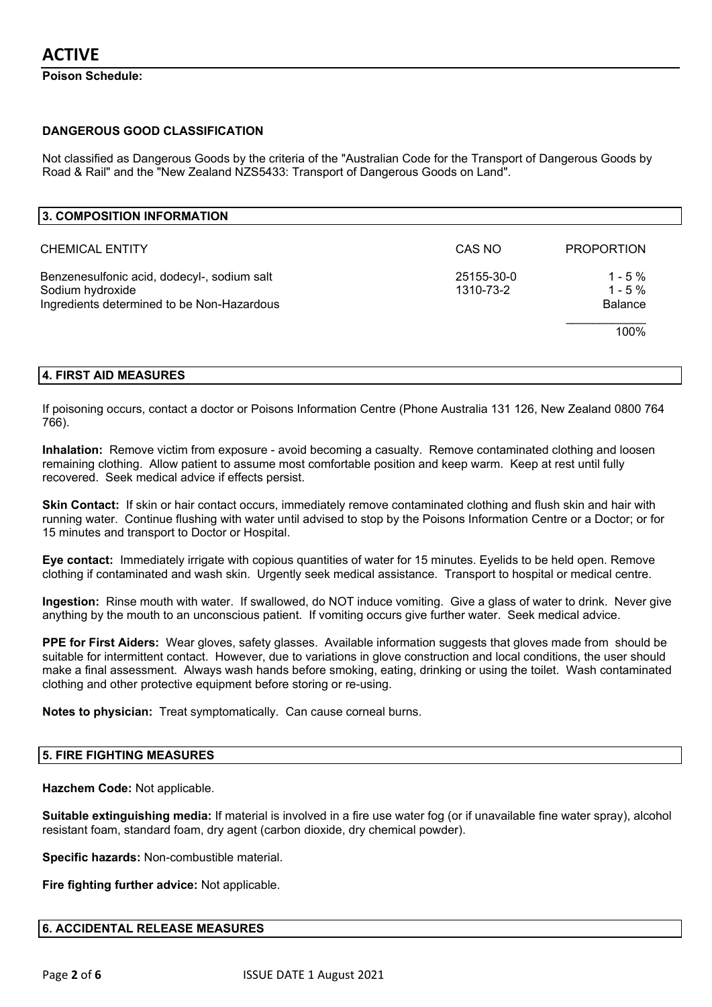**Poison Schedule:**

#### **DANGEROUS GOOD CLASSIFICATION**

Not classified as Dangerous Goods by the criteria of the "Australian Code for the Transport of Dangerous Goods by Road & Rail" and the "New Zealand NZS5433: Transport of Dangerous Goods on Land".

| 3. COMPOSITION INFORMATION                                                                                    |                         |                                        |
|---------------------------------------------------------------------------------------------------------------|-------------------------|----------------------------------------|
| <b>CHEMICAL ENTITY</b>                                                                                        | CAS NO                  | <b>PROPORTION</b>                      |
| Benzenesulfonic acid, dodecyl-, sodium salt<br>Sodium hydroxide<br>Ingredients determined to be Non-Hazardous | 25155-30-0<br>1310-73-2 | $1 - 5%$<br>$1 - 5%$<br><b>Balance</b> |
|                                                                                                               |                         | 100%                                   |

#### **4. FIRST AID MEASURES**

If poisoning occurs, contact a doctor or Poisons Information Centre (Phone Australia 131 126, New Zealand 0800 764 766).

**Inhalation:** Remove victim from exposure - avoid becoming a casualty. Remove contaminated clothing and loosen remaining clothing. Allow patient to assume most comfortable position and keep warm. Keep at rest until fully recovered. Seek medical advice if effects persist.

**Skin Contact:** If skin or hair contact occurs, immediately remove contaminated clothing and flush skin and hair with running water. Continue flushing with water until advised to stop by the Poisons Information Centre or a Doctor; or for 15 minutes and transport to Doctor or Hospital.

**Eye contact:** Immediately irrigate with copious quantities of water for 15 minutes. Eyelids to be held open. Remove clothing if contaminated and wash skin. Urgently seek medical assistance. Transport to hospital or medical centre.

**Ingestion:** Rinse mouth with water. If swallowed, do NOT induce vomiting. Give a glass of water to drink. Never give anything by the mouth to an unconscious patient. If vomiting occurs give further water. Seek medical advice.

**PPE for First Aiders:** Wear gloves, safety glasses. Available information suggests that gloves made from should be suitable for intermittent contact. However, due to variations in glove construction and local conditions, the user should make a final assessment. Always wash hands before smoking, eating, drinking or using the toilet. Wash contaminated clothing and other protective equipment before storing or re-using.

**Notes to physician:** Treat symptomatically. Can cause corneal burns.

#### **5. FIRE FIGHTING MEASURES**

**Hazchem Code:** Not applicable.

**Suitable extinguishing media:** If material is involved in a fire use water fog (or if unavailable fine water spray), alcohol resistant foam, standard foam, dry agent (carbon dioxide, dry chemical powder).

**Specific hazards:** Non-combustible material.

**Fire fighting further advice:** Not applicable.

#### **6. ACCIDENTAL RELEASE MEASURES**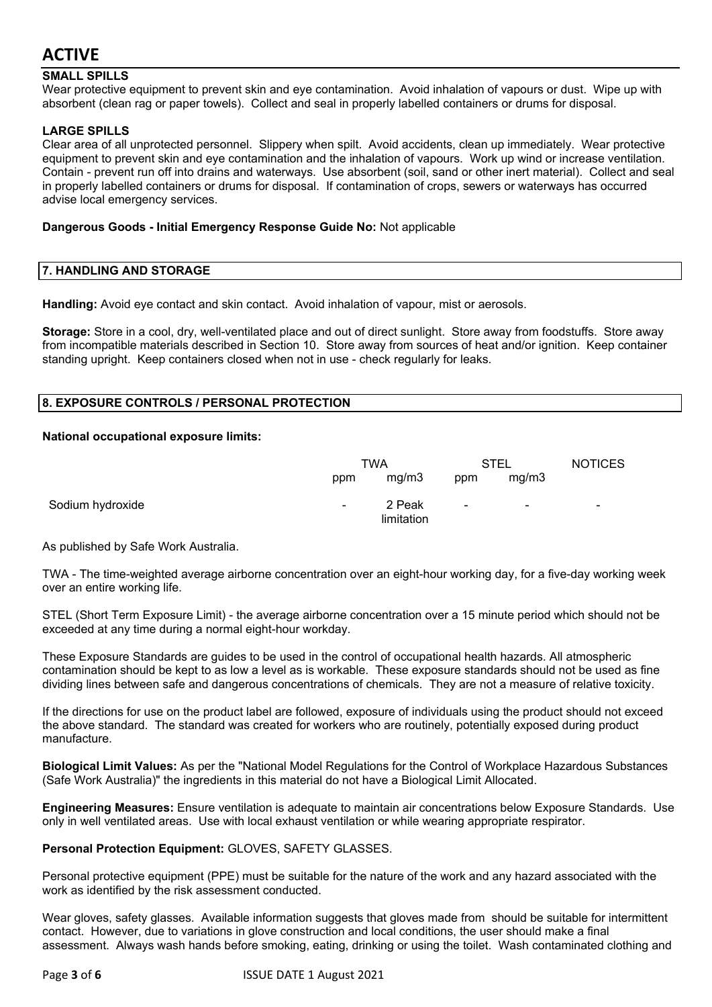#### **SMALL SPILLS**

Wear protective equipment to prevent skin and eye contamination. Avoid inhalation of vapours or dust. Wipe up with absorbent (clean rag or paper towels). Collect and seal in properly labelled containers or drums for disposal.

#### **LARGE SPILLS**

Clear area of all unprotected personnel. Slippery when spilt. Avoid accidents, clean up immediately. Wear protective equipment to prevent skin and eye contamination and the inhalation of vapours. Work up wind or increase ventilation. Contain - prevent run off into drains and waterways. Use absorbent (soil, sand or other inert material). Collect and seal in properly labelled containers or drums for disposal. If contamination of crops, sewers or waterways has occurred advise local emergency services.

#### **Dangerous Goods - Initial Emergency Response Guide No:** Not applicable

#### **7. HANDLING AND STORAGE**

**Handling:** Avoid eye contact and skin contact. Avoid inhalation of vapour, mist or aerosols.

**Storage:** Store in a cool, dry, well-ventilated place and out of direct sunlight. Store away from foodstuffs. Store away from incompatible materials described in Section 10. Store away from sources of heat and/or ignition. Keep container standing upright. Keep containers closed when not in use - check regularly for leaks.

#### **8. EXPOSURE CONTROLS / PERSONAL PROTECTION**

#### **National occupational exposure limits:**

|                  | <b>TWA</b>     |                      | STEL                     |                          | <b>NOTICES</b>           |
|------------------|----------------|----------------------|--------------------------|--------------------------|--------------------------|
|                  | ppm            | mg/m3                | ppm                      | mg/m3                    |                          |
| Sodium hydroxide | $\blacksquare$ | 2 Peak<br>limitation | $\overline{\phantom{a}}$ | $\overline{\phantom{a}}$ | $\overline{\phantom{a}}$ |

As published by Safe Work Australia.

TWA - The time-weighted average airborne concentration over an eight-hour working day, for a five-day working week over an entire working life.

STEL (Short Term Exposure Limit) - the average airborne concentration over a 15 minute period which should not be exceeded at any time during a normal eight-hour workday.

These Exposure Standards are guides to be used in the control of occupational health hazards. All atmospheric contamination should be kept to as low a level as is workable. These exposure standards should not be used as fine dividing lines between safe and dangerous concentrations of chemicals. They are not a measure of relative toxicity.

If the directions for use on the product label are followed, exposure of individuals using the product should not exceed the above standard. The standard was created for workers who are routinely, potentially exposed during product manufacture.

**Biological Limit Values:** As per the "National Model Regulations for the Control of Workplace Hazardous Substances (Safe Work Australia)" the ingredients in this material do not have a Biological Limit Allocated.

**Engineering Measures:** Ensure ventilation is adequate to maintain air concentrations below Exposure Standards. Use only in well ventilated areas. Use with local exhaust ventilation or while wearing appropriate respirator.

**Personal Protection Equipment:** GLOVES, SAFETY GLASSES.

Personal protective equipment (PPE) must be suitable for the nature of the work and any hazard associated with the work as identified by the risk assessment conducted.

Wear gloves, safety glasses. Available information suggests that gloves made from should be suitable for intermittent contact. However, due to variations in glove construction and local conditions, the user should make a final assessment. Always wash hands before smoking, eating, drinking or using the toilet. Wash contaminated clothing and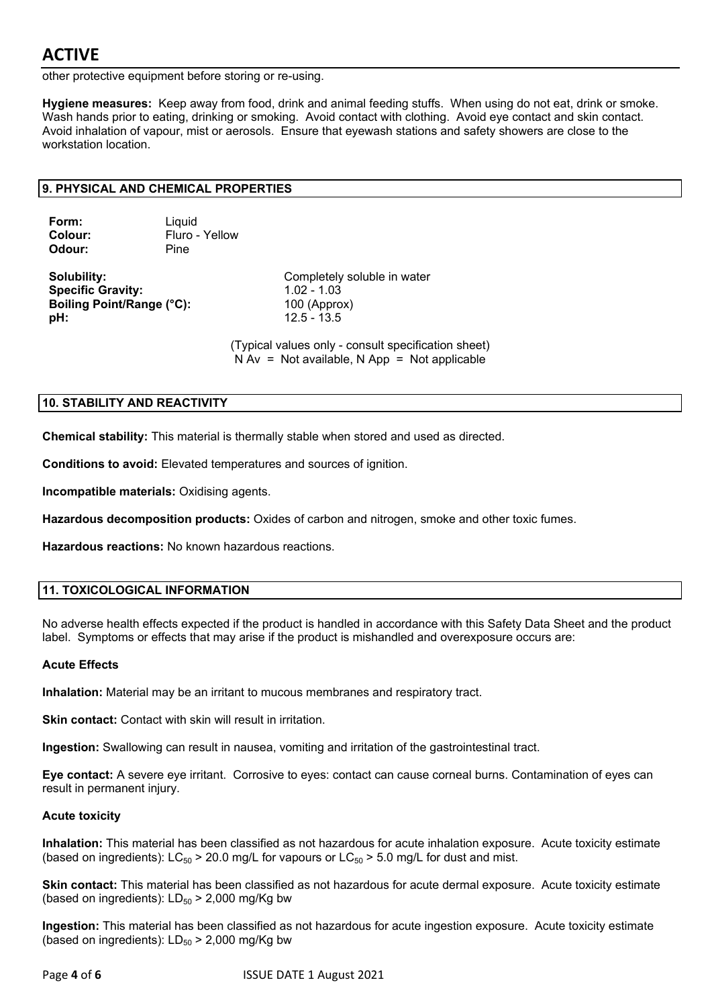other protective equipment before storing or re-using.

**Hygiene measures:** Keep away from food, drink and animal feeding stuffs. When using do not eat, drink or smoke. Wash hands prior to eating, drinking or smoking. Avoid contact with clothing. Avoid eye contact and skin contact. Avoid inhalation of vapour, mist or aerosols. Ensure that eyewash stations and safety showers are close to the workstation location.

#### **9. PHYSICAL AND CHEMICAL PROPERTIES**

| Form:   |  |
|---------|--|
| Colour: |  |
| Odour:  |  |

**Liquid Colour:** Fluro - Yellow **Odour:** Pine

**Specific Gravity:** 1.02 - 1.03 **Boiling Point/Range (°C):** 100 (Approx) **pH:** 12.5 - 13.5

**Solubility:** Completely soluble in water

(Typical values only - consult specification sheet)  $N Av = Not available, N App = Not applicable$ 

#### **10. STABILITY AND REACTIVITY**

**Chemical stability:** This material is thermally stable when stored and used as directed.

**Conditions to avoid:** Elevated temperatures and sources of ignition.

**Incompatible materials:** Oxidising agents.

**Hazardous decomposition products:** Oxides of carbon and nitrogen, smoke and other toxic fumes.

**Hazardous reactions:** No known hazardous reactions.

#### **11. TOXICOLOGICAL INFORMATION**

No adverse health effects expected if the product is handled in accordance with this Safety Data Sheet and the product label. Symptoms or effects that may arise if the product is mishandled and overexposure occurs are:

#### **Acute Effects**

**Inhalation:** Material may be an irritant to mucous membranes and respiratory tract.

**Skin contact:** Contact with skin will result in irritation.

**Ingestion:** Swallowing can result in nausea, vomiting and irritation of the gastrointestinal tract.

**Eye contact:** A severe eye irritant. Corrosive to eyes: contact can cause corneal burns. Contamination of eyes can result in permanent injury.

#### **Acute toxicity**

**Inhalation:** This material has been classified as not hazardous for acute inhalation exposure. Acute toxicity estimate (based on ingredients):  $LC_{50}$  > 20.0 mg/L for vapours or  $LC_{50}$  > 5.0 mg/L for dust and mist.

**Skin contact:** This material has been classified as not hazardous for acute dermal exposure. Acute toxicity estimate (based on ingredients):  $LD_{50}$  > 2,000 mg/Kg bw

**Ingestion:** This material has been classified as not hazardous for acute ingestion exposure. Acute toxicity estimate (based on ingredients):  $LD_{50}$  > 2,000 mg/Kg bw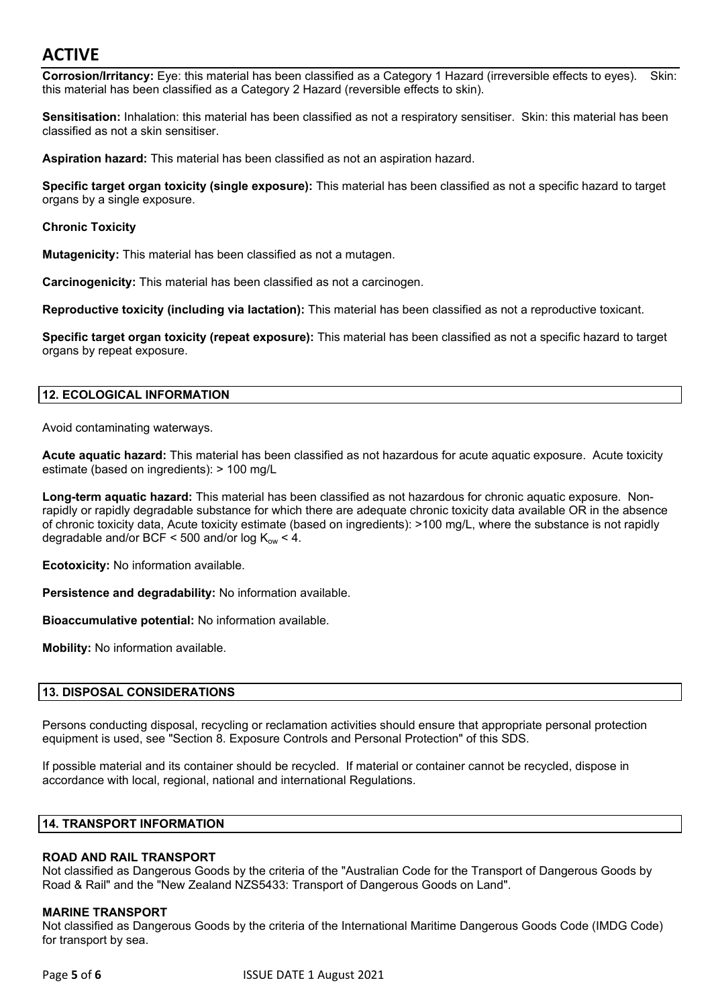**Corrosion/Irritancy:** Eye: this material has been classified as a Category 1 Hazard (irreversible effects to eyes). Skin: this material has been classified as a Category 2 Hazard (reversible effects to skin).

**Sensitisation:** Inhalation: this material has been classified as not a respiratory sensitiser. Skin: this material has been classified as not a skin sensitiser.

**Aspiration hazard:** This material has been classified as not an aspiration hazard.

**Specific target organ toxicity (single exposure):** This material has been classified as not a specific hazard to target organs by a single exposure.

#### **Chronic Toxicity**

**Mutagenicity:** This material has been classified as not a mutagen.

**Carcinogenicity:** This material has been classified as not a carcinogen.

**Reproductive toxicity (including via lactation):** This material has been classified as not a reproductive toxicant.

**Specific target organ toxicity (repeat exposure):** This material has been classified as not a specific hazard to target organs by repeat exposure.

#### **12. ECOLOGICAL INFORMATION**

Avoid contaminating waterways.

**Acute aquatic hazard:** This material has been classified as not hazardous for acute aquatic exposure. Acute toxicity estimate (based on ingredients): > 100 mg/L

**Long-term aquatic hazard:** This material has been classified as not hazardous for chronic aquatic exposure. Nonrapidly or rapidly degradable substance for which there are adequate chronic toxicity data available OR in the absence of chronic toxicity data, Acute toxicity estimate (based on ingredients): >100 mg/L, where the substance is not rapidly degradable and/or BCF < 500 and/or log  $K_{ow}$  < 4.

**Ecotoxicity:** No information available.

**Persistence and degradability:** No information available.

**Bioaccumulative potential:** No information available.

**Mobility:** No information available.

#### **13. DISPOSAL CONSIDERATIONS**

Persons conducting disposal, recycling or reclamation activities should ensure that appropriate personal protection equipment is used, see "Section 8. Exposure Controls and Personal Protection" of this SDS.

If possible material and its container should be recycled. If material or container cannot be recycled, dispose in accordance with local, regional, national and international Regulations.

#### **14. TRANSPORT INFORMATION**

#### **ROAD AND RAIL TRANSPORT**

Not classified as Dangerous Goods by the criteria of the "Australian Code for the Transport of Dangerous Goods by Road & Rail" and the "New Zealand NZS5433: Transport of Dangerous Goods on Land".

#### **MARINE TRANSPORT**

Not classified as Dangerous Goods by the criteria of the International Maritime Dangerous Goods Code (IMDG Code) for transport by sea.